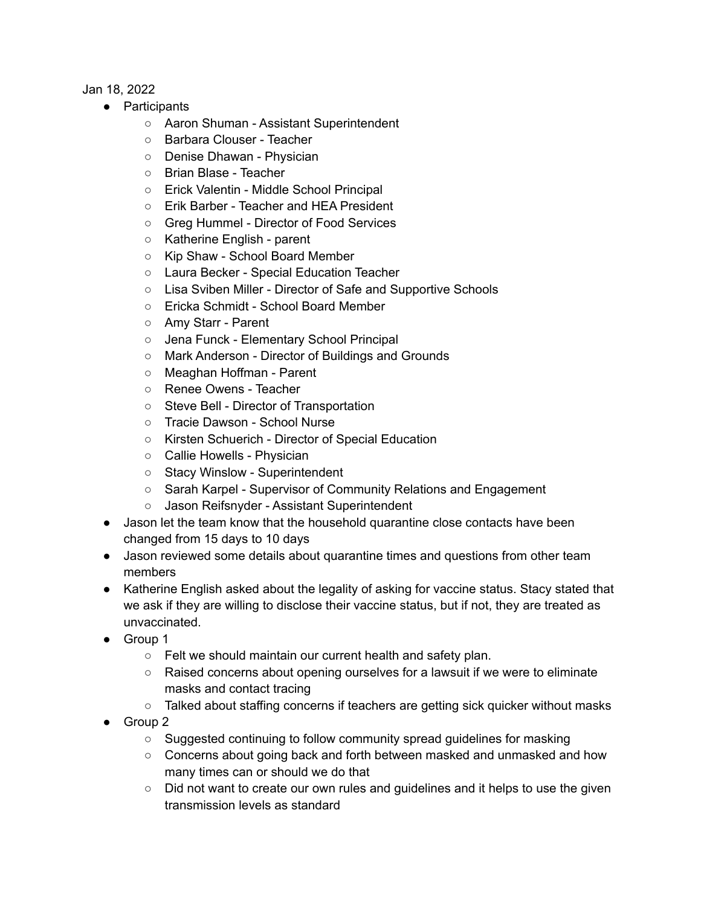## Jan 18, 2022

- Participants
	- Aaron Shuman Assistant Superintendent
	- Barbara Clouser Teacher
	- Denise Dhawan Physician
	- Brian Blase Teacher
	- Erick Valentin Middle School Principal
	- Erik Barber Teacher and HEA President
	- Greg Hummel Director of Food Services
	- Katherine English parent
	- Kip Shaw School Board Member
	- Laura Becker Special Education Teacher
	- Lisa Sviben Miller Director of Safe and Supportive Schools
	- Ericka Schmidt School Board Member
	- Amy Starr Parent
	- Jena Funck Elementary School Principal
	- Mark Anderson Director of Buildings and Grounds
	- Meaghan Hoffman Parent
	- Renee Owens Teacher
	- Steve Bell Director of Transportation
	- Tracie Dawson School Nurse
	- Kirsten Schuerich Director of Special Education
	- Callie Howells Physician
	- Stacy Winslow Superintendent
	- Sarah Karpel Supervisor of Community Relations and Engagement
	- Jason Reifsnyder Assistant Superintendent
- Jason let the team know that the household quarantine close contacts have been changed from 15 days to 10 days
- Jason reviewed some details about quarantine times and questions from other team members
- Katherine English asked about the legality of asking for vaccine status. Stacy stated that we ask if they are willing to disclose their vaccine status, but if not, they are treated as unvaccinated.
- Group 1
	- Felt we should maintain our current health and safety plan.
	- Raised concerns about opening ourselves for a lawsuit if we were to eliminate masks and contact tracing
	- $\circ$  Talked about staffing concerns if teachers are getting sick quicker without masks
- Group 2
	- Suggested continuing to follow community spread guidelines for masking
	- Concerns about going back and forth between masked and unmasked and how many times can or should we do that
	- Did not want to create our own rules and quidelines and it helps to use the given transmission levels as standard